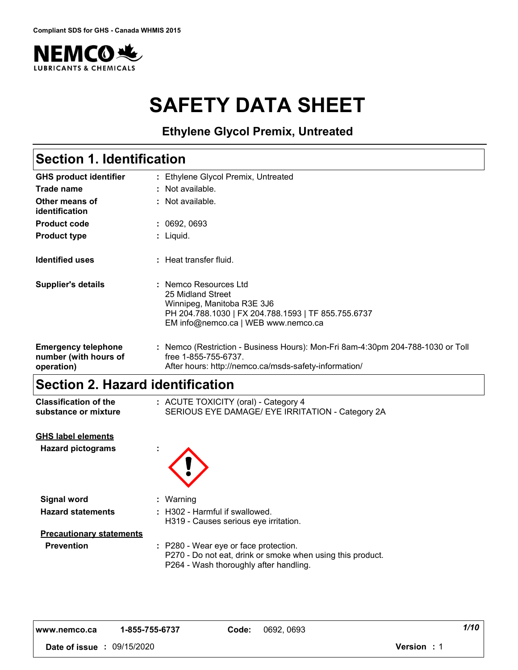

# **SAFETY DATA SHEET**

**Ethylene Glycol Premix, Untreated**

# **Section 1. Identification**

| <b>GHS product identifier</b>                                     | : Ethylene Glycol Premix, Untreated                                                                                                                                    |
|-------------------------------------------------------------------|------------------------------------------------------------------------------------------------------------------------------------------------------------------------|
| Trade name                                                        | $:$ Not available.                                                                                                                                                     |
| Other means of<br>identification                                  | : Not available.                                                                                                                                                       |
| <b>Product code</b>                                               | : 0692,0693                                                                                                                                                            |
| <b>Product type</b>                                               | : Liquid.                                                                                                                                                              |
| <b>Identified uses</b>                                            | : Heat transfer fluid.                                                                                                                                                 |
| <b>Supplier's details</b>                                         | : Nemco Resources Ltd<br>25 Midland Street<br>Winnipeg, Manitoba R3E 3J6<br>PH 204.788.1030   FX 204.788.1593   TF 855.755.6737<br>EM info@nemco.ca   WEB www.nemco.ca |
| <b>Emergency telephone</b><br>number (with hours of<br>operation) | : Nemco (Restriction - Business Hours): Mon-Fri 8am-4:30pm 204-788-1030 or Toll<br>free 1-855-755-6737.<br>After hours: http://nemco.ca/msds-safety-information/       |

# **Section 2. Hazard identification**

| <b>Classification of the</b><br>substance or mixture  | : ACUTE TOXICITY (oral) - Category 4<br>SERIOUS EYE DAMAGE/ EYE IRRITATION - Category 2A                                                      |
|-------------------------------------------------------|-----------------------------------------------------------------------------------------------------------------------------------------------|
| <b>GHS label elements</b><br><b>Hazard pictograms</b> |                                                                                                                                               |
| <b>Signal word</b>                                    | : Warning                                                                                                                                     |
| <b>Hazard statements</b>                              | : H302 - Harmful if swallowed.<br>H319 - Causes serious eye irritation.                                                                       |
| <b>Precautionary statements</b>                       |                                                                                                                                               |
| <b>Prevention</b>                                     | : P280 - Wear eye or face protection.<br>P270 - Do not eat, drink or smoke when using this product.<br>P264 - Wash thoroughly after handling. |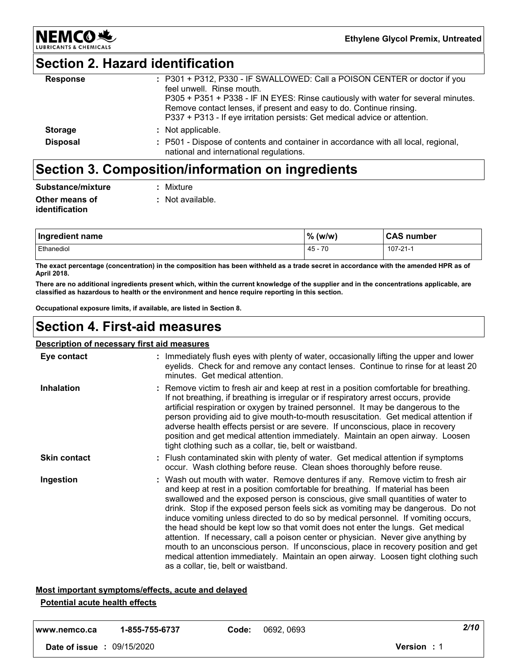# **Section 2. Hazard identification**

**NEMCO头** 

| <b>Response</b> | : P301 + P312, P330 - IF SWALLOWED: Call a POISON CENTER or doctor if you<br>feel unwell. Rinse mouth.<br>P305 + P351 + P338 - IF IN EYES: Rinse cautiously with water for several minutes.<br>Remove contact lenses, if present and easy to do. Continue rinsing.<br>P337 + P313 - If eye irritation persists: Get medical advice or attention. |
|-----------------|--------------------------------------------------------------------------------------------------------------------------------------------------------------------------------------------------------------------------------------------------------------------------------------------------------------------------------------------------|
| <b>Storage</b>  | : Not applicable.                                                                                                                                                                                                                                                                                                                                |
| <b>Disposal</b> | : P501 - Dispose of contents and container in accordance with all local, regional,<br>national and international regulations.                                                                                                                                                                                                                    |

# **Section 3. Composition/information on ingredients**

| Substance/mixture | : Mixture        |
|-------------------|------------------|
| Other means of    | : Not available. |
| identification    |                  |

| Ingredient name | $%$ (w/w) | <b>CAS number</b> |
|-----------------|-----------|-------------------|
| Ethanediol      | $45 - 70$ | 107-21-1          |

**The exact percentage (concentration) in the composition has been withheld as a trade secret in accordance with the amended HPR as of April 2018.**

**There are no additional ingredients present which, within the current knowledge of the supplier and in the concentrations applicable, are classified as hazardous to health or the environment and hence require reporting in this section.**

**Occupational exposure limits, if available, are listed in Section 8.**

# **Section 4. First-aid measures**

### **Description of necessary first aid measures**

| Eye contact         | : Immediately flush eyes with plenty of water, occasionally lifting the upper and lower<br>eyelids. Check for and remove any contact lenses. Continue to rinse for at least 20<br>minutes. Get medical attention.                                                                                                                                                                                                                                                                                                                                                                                                                                                                                                                                                                                                             |
|---------------------|-------------------------------------------------------------------------------------------------------------------------------------------------------------------------------------------------------------------------------------------------------------------------------------------------------------------------------------------------------------------------------------------------------------------------------------------------------------------------------------------------------------------------------------------------------------------------------------------------------------------------------------------------------------------------------------------------------------------------------------------------------------------------------------------------------------------------------|
| <b>Inhalation</b>   | : Remove victim to fresh air and keep at rest in a position comfortable for breathing.<br>If not breathing, if breathing is irregular or if respiratory arrest occurs, provide<br>artificial respiration or oxygen by trained personnel. It may be dangerous to the<br>person providing aid to give mouth-to-mouth resuscitation. Get medical attention if<br>adverse health effects persist or are severe. If unconscious, place in recovery<br>position and get medical attention immediately. Maintain an open airway. Loosen<br>tight clothing such as a collar, tie, belt or waistband.                                                                                                                                                                                                                                  |
| <b>Skin contact</b> | : Flush contaminated skin with plenty of water. Get medical attention if symptoms<br>occur. Wash clothing before reuse. Clean shoes thoroughly before reuse.                                                                                                                                                                                                                                                                                                                                                                                                                                                                                                                                                                                                                                                                  |
| Ingestion           | : Wash out mouth with water. Remove dentures if any. Remove victim to fresh air<br>and keep at rest in a position comfortable for breathing. If material has been<br>swallowed and the exposed person is conscious, give small quantities of water to<br>drink. Stop if the exposed person feels sick as vomiting may be dangerous. Do not<br>induce vomiting unless directed to do so by medical personnel. If vomiting occurs,<br>the head should be kept low so that vomit does not enter the lungs. Get medical<br>attention. If necessary, call a poison center or physician. Never give anything by<br>mouth to an unconscious person. If unconscious, place in recovery position and get<br>medical attention immediately. Maintain an open airway. Loosen tight clothing such<br>as a collar, tie, belt or waistband. |

### **Most important symptoms/effects, acute and delayed**

### **Potential acute health effects**

| www.nemco.ca                      | 1-855-755-6737 | Code: | 0692, 0693 | 2/10               |  |
|-----------------------------------|----------------|-------|------------|--------------------|--|
| <b>Date of issue : 09/15/2020</b> |                |       |            | <b>Version</b> : 1 |  |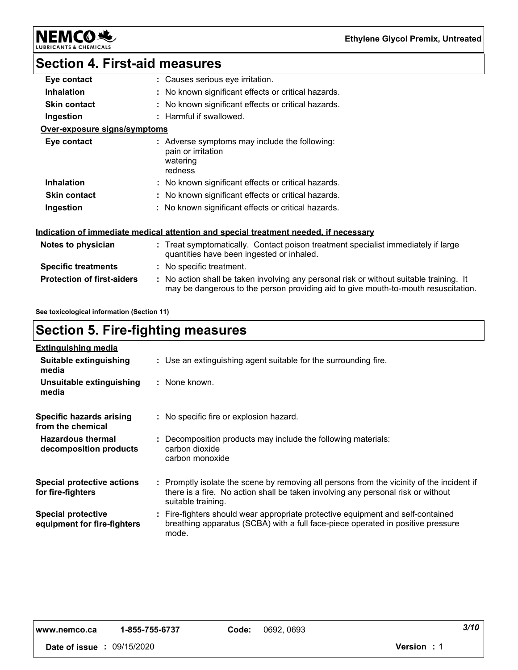**NEMCO头** & CHEMICALS LUBRI

# **Section 4. First-aid measures**

| Eye contact                       | : Causes serious eye irritation.                                                                                                                                              |
|-----------------------------------|-------------------------------------------------------------------------------------------------------------------------------------------------------------------------------|
| <b>Inhalation</b>                 | : No known significant effects or critical hazards.                                                                                                                           |
| <b>Skin contact</b>               | : No known significant effects or critical hazards.                                                                                                                           |
| Ingestion                         | : Harmful if swallowed.                                                                                                                                                       |
| Over-exposure signs/symptoms      |                                                                                                                                                                               |
| Eye contact                       | : Adverse symptoms may include the following:<br>pain or irritation<br>watering<br>redness                                                                                    |
| <b>Inhalation</b>                 | : No known significant effects or critical hazards.                                                                                                                           |
| <b>Skin contact</b>               | : No known significant effects or critical hazards.                                                                                                                           |
| Ingestion                         | : No known significant effects or critical hazards.                                                                                                                           |
|                                   | Indication of immediate medical attention and special treatment needed, if necessary                                                                                          |
| Notes to physician                | : Treat symptomatically. Contact poison treatment specialist immediately if large<br>quantities have been ingested or inhaled.                                                |
| <b>Specific treatments</b>        | : No specific treatment.                                                                                                                                                      |
| <b>Protection of first-aiders</b> | : No action shall be taken involving any personal risk or without suitable training. It<br>may be dangerous to the person providing aid to give mouth-to-mouth resuscitation. |
|                                   |                                                                                                                                                                               |

**See toxicological information (Section 11)**

# **Section 5. Fire-fighting measures**

| <b>Extinguishing media</b>                               |                                                                                                                                                                                                     |
|----------------------------------------------------------|-----------------------------------------------------------------------------------------------------------------------------------------------------------------------------------------------------|
| Suitable extinguishing<br>media                          | : Use an extinguishing agent suitable for the surrounding fire.                                                                                                                                     |
| Unsuitable extinguishing<br>media                        | : None known.                                                                                                                                                                                       |
| Specific hazards arising<br>from the chemical            | : No specific fire or explosion hazard.                                                                                                                                                             |
| <b>Hazardous thermal</b><br>decomposition products       | : Decomposition products may include the following materials:<br>carbon dioxide<br>carbon monoxide                                                                                                  |
| <b>Special protective actions</b><br>for fire-fighters   | : Promptly isolate the scene by removing all persons from the vicinity of the incident if<br>there is a fire. No action shall be taken involving any personal risk or without<br>suitable training. |
| <b>Special protective</b><br>equipment for fire-fighters | : Fire-fighters should wear appropriate protective equipment and self-contained<br>breathing apparatus (SCBA) with a full face-piece operated in positive pressure<br>mode.                         |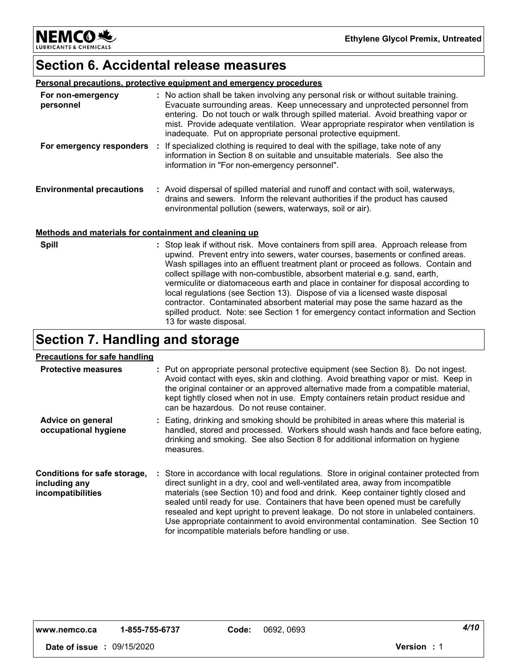**NEMCO头** LUBRICANTS & CHEMICALS

# **Section 6. Accidental release measures**

#### **Personal precautions, protective equipment and emergency procedures**

| For non-emergency<br>personnel                        | : No action shall be taken involving any personal risk or without suitable training.<br>Evacuate surrounding areas. Keep unnecessary and unprotected personnel from<br>entering. Do not touch or walk through spilled material. Avoid breathing vapor or<br>mist. Provide adequate ventilation. Wear appropriate respirator when ventilation is<br>inadequate. Put on appropriate personal protective equipment. |
|-------------------------------------------------------|------------------------------------------------------------------------------------------------------------------------------------------------------------------------------------------------------------------------------------------------------------------------------------------------------------------------------------------------------------------------------------------------------------------|
| For emergency responders                              | : If specialized clothing is required to deal with the spillage, take note of any<br>information in Section 8 on suitable and unsuitable materials. See also the<br>information in "For non-emergency personnel".                                                                                                                                                                                                |
| <b>Environmental precautions</b>                      | : Avoid dispersal of spilled material and runoff and contact with soil, waterways,<br>drains and sewers. Inform the relevant authorities if the product has caused<br>environmental pollution (sewers, waterways, soil or air).                                                                                                                                                                                  |
| Methods and materials for containment and cleaning up |                                                                                                                                                                                                                                                                                                                                                                                                                  |
| <b>Spill</b>                                          | : Stop leak if without risk. Move containers from spill area. Approach release from                                                                                                                                                                                                                                                                                                                              |

| ill | : Stop leak if without risk. Move containers from spill area. Approach release from<br>upwind. Prevent entry into sewers, water courses, basements or confined areas.<br>Wash spillages into an effluent treatment plant or proceed as follows. Contain and<br>collect spillage with non-combustible, absorbent material e.g. sand, earth,<br>vermiculite or diatomaceous earth and place in container for disposal according to<br>local regulations (see Section 13). Dispose of via a licensed waste disposal<br>contractor. Contaminated absorbent material may pose the same hazard as the |
|-----|-------------------------------------------------------------------------------------------------------------------------------------------------------------------------------------------------------------------------------------------------------------------------------------------------------------------------------------------------------------------------------------------------------------------------------------------------------------------------------------------------------------------------------------------------------------------------------------------------|
|     | spilled product. Note: see Section 1 for emergency contact information and Section<br>13 for waste disposal.                                                                                                                                                                                                                                                                                                                                                                                                                                                                                    |

# **Section 7. Handling and storage**

### **Precautions for safe handling**

| <b>Protective measures</b>                                         | : Put on appropriate personal protective equipment (see Section 8). Do not ingest.<br>Avoid contact with eyes, skin and clothing. Avoid breathing vapor or mist. Keep in<br>the original container or an approved alternative made from a compatible material,<br>kept tightly closed when not in use. Empty containers retain product residue and<br>can be hazardous. Do not reuse container.                                                                                                                                                                                    |
|--------------------------------------------------------------------|------------------------------------------------------------------------------------------------------------------------------------------------------------------------------------------------------------------------------------------------------------------------------------------------------------------------------------------------------------------------------------------------------------------------------------------------------------------------------------------------------------------------------------------------------------------------------------|
| Advice on general<br>occupational hygiene                          | : Eating, drinking and smoking should be prohibited in areas where this material is<br>handled, stored and processed. Workers should wash hands and face before eating,<br>drinking and smoking. See also Section 8 for additional information on hygiene<br>measures.                                                                                                                                                                                                                                                                                                             |
| Conditions for safe storage,<br>including any<br>incompatibilities | : Store in accordance with local regulations. Store in original container protected from<br>direct sunlight in a dry, cool and well-ventilated area, away from incompatible<br>materials (see Section 10) and food and drink. Keep container tightly closed and<br>sealed until ready for use. Containers that have been opened must be carefully<br>resealed and kept upright to prevent leakage. Do not store in unlabeled containers.<br>Use appropriate containment to avoid environmental contamination. See Section 10<br>for incompatible materials before handling or use. |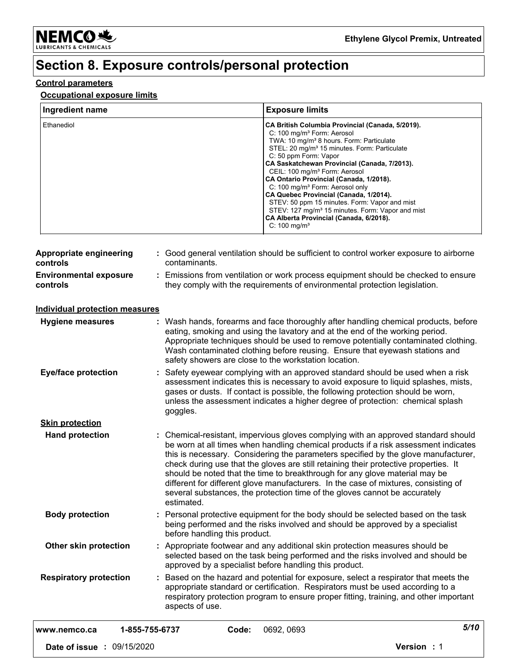

# **Section 8. Exposure controls/personal protection**

### **Control parameters**

### **Occupational exposure limits**

| <b>Exposure limits</b>                                                                                                                                                                                                                                                                                                                                                                                                                                                                                                                                                                                                                                          |
|-----------------------------------------------------------------------------------------------------------------------------------------------------------------------------------------------------------------------------------------------------------------------------------------------------------------------------------------------------------------------------------------------------------------------------------------------------------------------------------------------------------------------------------------------------------------------------------------------------------------------------------------------------------------|
| CA British Columbia Provincial (Canada, 5/2019).<br>C: 100 mg/m <sup>3</sup> Form: Aerosol<br>TWA: 10 mg/m <sup>3</sup> 8 hours. Form: Particulate<br>STEL: 20 mg/m <sup>3</sup> 15 minutes. Form: Particulate<br>C: 50 ppm Form: Vapor<br>CA Saskatchewan Provincial (Canada, 7/2013).<br>CEIL: 100 mg/m <sup>3</sup> Form: Aerosol<br>CA Ontario Provincial (Canada, 1/2018).<br>C: 100 mg/m <sup>3</sup> Form: Aerosol only<br>CA Quebec Provincial (Canada, 1/2014).<br>STEV: 50 ppm 15 minutes. Form: Vapor and mist<br>STEV: 127 mg/m <sup>3</sup> 15 minutes. Form: Vapor and mist<br>CA Alberta Provincial (Canada, 6/2018).<br>C: $100 \text{ mg/m}^3$ |
|                                                                                                                                                                                                                                                                                                                                                                                                                                                                                                                                                                                                                                                                 |

| controls                                  | contaminants.                                                                                                                                                                                                                                                                                                                                                                                                                                                                                                                                                                                                             |
|-------------------------------------------|---------------------------------------------------------------------------------------------------------------------------------------------------------------------------------------------------------------------------------------------------------------------------------------------------------------------------------------------------------------------------------------------------------------------------------------------------------------------------------------------------------------------------------------------------------------------------------------------------------------------------|
| <b>Environmental exposure</b><br>controls | : Emissions from ventilation or work process equipment should be checked to ensure<br>they comply with the requirements of environmental protection legislation.                                                                                                                                                                                                                                                                                                                                                                                                                                                          |
| <b>Individual protection measures</b>     |                                                                                                                                                                                                                                                                                                                                                                                                                                                                                                                                                                                                                           |
| <b>Hygiene measures</b>                   | : Wash hands, forearms and face thoroughly after handling chemical products, before<br>eating, smoking and using the lavatory and at the end of the working period.<br>Appropriate techniques should be used to remove potentially contaminated clothing.<br>Wash contaminated clothing before reusing. Ensure that eyewash stations and<br>safety showers are close to the workstation location.                                                                                                                                                                                                                         |
| <b>Eye/face protection</b>                | Safety eyewear complying with an approved standard should be used when a risk<br>assessment indicates this is necessary to avoid exposure to liquid splashes, mists,<br>gases or dusts. If contact is possible, the following protection should be worn,<br>unless the assessment indicates a higher degree of protection: chemical splash<br>goggles.                                                                                                                                                                                                                                                                    |
| <b>Skin protection</b>                    |                                                                                                                                                                                                                                                                                                                                                                                                                                                                                                                                                                                                                           |
| <b>Hand protection</b>                    | : Chemical-resistant, impervious gloves complying with an approved standard should<br>be worn at all times when handling chemical products if a risk assessment indicates<br>this is necessary. Considering the parameters specified by the glove manufacturer,<br>check during use that the gloves are still retaining their protective properties. It<br>should be noted that the time to breakthrough for any glove material may be<br>different for different glove manufacturers. In the case of mixtures, consisting of<br>several substances, the protection time of the gloves cannot be accurately<br>estimated. |
| <b>Body protection</b>                    | : Personal protective equipment for the body should be selected based on the task<br>being performed and the risks involved and should be approved by a specialist<br>before handling this product.                                                                                                                                                                                                                                                                                                                                                                                                                       |
| Other skin protection                     | : Appropriate footwear and any additional skin protection measures should be<br>selected based on the task being performed and the risks involved and should be<br>approved by a specialist before handling this product.                                                                                                                                                                                                                                                                                                                                                                                                 |
| <b>Respiratory protection</b>             | : Based on the hazard and potential for exposure, select a respirator that meets the<br>appropriate standard or certification. Respirators must be used according to a<br>respiratory protection program to ensure proper fitting, training, and other important<br>aspects of use.                                                                                                                                                                                                                                                                                                                                       |
| www.nemco.ca                              | 5/10<br>1-855-755-6737<br>Code:<br>0692, 0693                                                                                                                                                                                                                                                                                                                                                                                                                                                                                                                                                                             |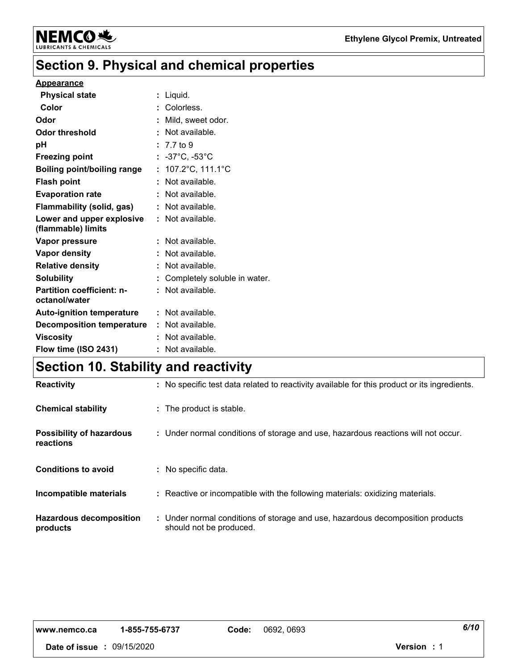

# **Section 9. Physical and chemical properties**

#### **Appearance**

| <b>Physical state</b>                             | : Liquid.                              |
|---------------------------------------------------|----------------------------------------|
| Color                                             | : Colorless.                           |
| Odor                                              | : Mild, sweet odor.                    |
| Odor threshold                                    | : Not available.                       |
| рH                                                | $: 7.7 \text{ to } 9$                  |
| <b>Freezing point</b>                             | $: -37^{\circ}$ C, $-53^{\circ}$ C     |
| <b>Boiling point/boiling range</b>                | : $107.2^{\circ}$ C, $111.1^{\circ}$ C |
| <b>Flash point</b>                                | : Not available.                       |
| <b>Evaporation rate</b>                           | : Not available.                       |
| Flammability (solid, gas)                         | : Not available.                       |
| Lower and upper explosive<br>(flammable) limits   | $\therefore$ Not available.            |
| Vapor pressure                                    | : Not available.                       |
| Vapor density                                     | : Not available.                       |
| <b>Relative density</b>                           | : Not available.                       |
| <b>Solubility</b>                                 | : Completely soluble in water.         |
| <b>Partition coefficient: n-</b><br>octanol/water | : Not available.                       |
| <b>Auto-ignition temperature</b>                  | $\therefore$ Not available.            |
| <b>Decomposition temperature</b>                  | : Not available.                       |
| <b>Viscosity</b>                                  | : Not available.                       |
| Flow time (ISO 2431)                              | : Not available.                       |

# **Section 10. Stability and reactivity**

| <b>Reactivity</b>                            | : No specific test data related to reactivity available for this product or its ingredients.              |
|----------------------------------------------|-----------------------------------------------------------------------------------------------------------|
| <b>Chemical stability</b>                    | : The product is stable.                                                                                  |
| <b>Possibility of hazardous</b><br>reactions | : Under normal conditions of storage and use, hazardous reactions will not occur.                         |
| <b>Conditions to avoid</b>                   | : No specific data.                                                                                       |
| Incompatible materials                       | : Reactive or incompatible with the following materials: oxidizing materials.                             |
| <b>Hazardous decomposition</b><br>products   | : Under normal conditions of storage and use, hazardous decomposition products<br>should not be produced. |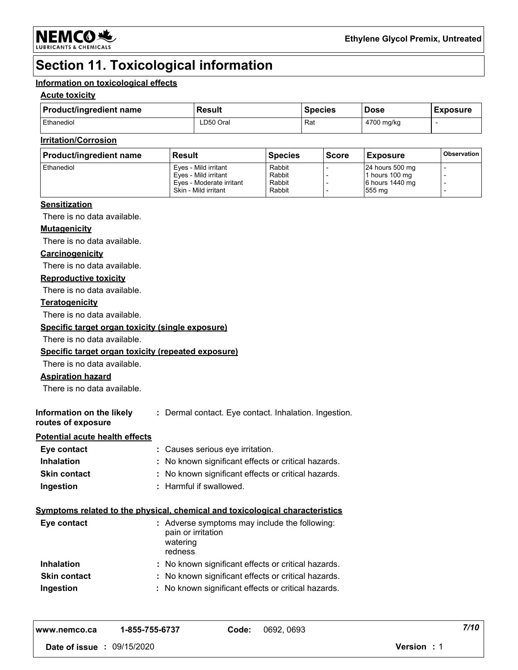

# **Section 11. Toxicological information**

### **Information on toxicological effects**

### **Acute toxicity**

| <b>Product/ingredient name</b> | <b>Result</b> | <b>Species</b> | <b>Dose</b> | <b>Exposure</b> |
|--------------------------------|---------------|----------------|-------------|-----------------|
| Ethanediol                     | LD50 Oral     | Rat            | 4700 mg/kg  |                 |

### **Irritation/Corrosion**

| <b>Product/ingredient name</b> | <b>Result</b>            | <b>Species</b> | <b>Score</b> | <b>Exposure</b> | <b>Observation</b> |
|--------------------------------|--------------------------|----------------|--------------|-----------------|--------------------|
| <b>Ethanediol</b>              | Eves - Mild irritant     | Rabbit         |              | 24 hours 500 mg |                    |
|                                | Eves - Mild irritant     | Rabbit         |              | 1 hours 100 mg  |                    |
|                                | Eves - Moderate irritant | Rabbit         |              | 6 hours 1440 mg |                    |
|                                | Skin - Mild irritant     | Rabbit         |              | 555 mg          |                    |

### **Sensitization**

There is no data available.

### **Mutagenicity**

There is no data available.

#### **Carcinogenicity**

There is no data available.

### **Reproductive toxicity**

There is no data available.

### **Teratogenicity**

There is no data available.

### **Specific target organ toxicity (single exposure)**

There is no data available.

#### **Specific target organ toxicity (repeated exposure)**

There is no data available.

### **Aspiration hazard**

There is no data available.

| Information on the likely | : Dermal contact. Eye contact. Inhalation. Ingestion. |
|---------------------------|-------------------------------------------------------|
| routes of exposure        |                                                       |

#### **Potential acute health effects**

| Eye contact         | : Causes serious eye irritation.                    |
|---------------------|-----------------------------------------------------|
| <b>Inhalation</b>   | : No known significant effects or critical hazards. |
| <b>Skin contact</b> | : No known significant effects or critical hazards. |
| Ingestion           | : Harmful if swallowed.                             |

### **Symptoms related to the physical, chemical and toxicological characteristics**

| Eye contact         | : Adverse symptoms may include the following:<br>pain or irritation<br>watering<br>redness |
|---------------------|--------------------------------------------------------------------------------------------|
| <b>Inhalation</b>   | : No known significant effects or critical hazards.                                        |
| <b>Skin contact</b> | : No known significant effects or critical hazards.                                        |
| Ingestion           | : No known significant effects or critical hazards.                                        |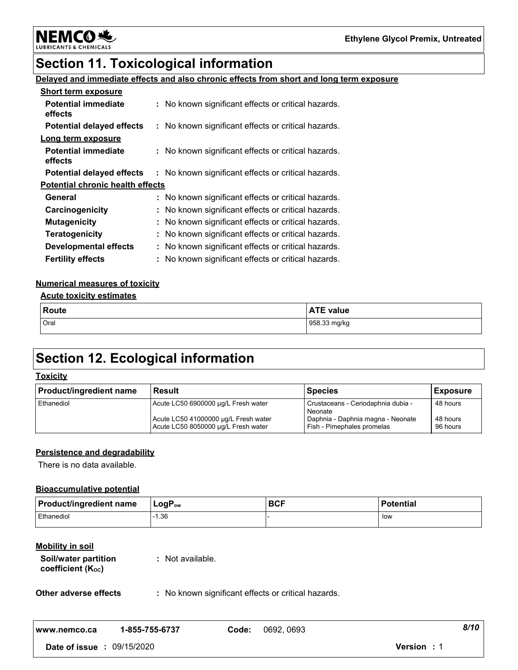**NEMCO头** LUBRIO

# **Section 11. Toxicological information**

# **Delayed and immediate effects and also chronic effects from short and long term exposure**

| <b>Short term exposure</b>              |                                                     |  |
|-----------------------------------------|-----------------------------------------------------|--|
| <b>Potential immediate</b><br>effects   | : No known significant effects or critical hazards. |  |
| <b>Potential delayed effects</b>        | : No known significant effects or critical hazards. |  |
| Long term exposure                      |                                                     |  |
| <b>Potential immediate</b><br>effects   | : No known significant effects or critical hazards. |  |
| <b>Potential delayed effects</b>        | : No known significant effects or critical hazards. |  |
| <b>Potential chronic health effects</b> |                                                     |  |
| General                                 | : No known significant effects or critical hazards. |  |
| Carcinogenicity                         | : No known significant effects or critical hazards. |  |
| <b>Mutagenicity</b>                     | : No known significant effects or critical hazards. |  |
| <b>Teratogenicity</b>                   | : No known significant effects or critical hazards. |  |
| <b>Developmental effects</b>            | : No known significant effects or critical hazards. |  |
| <b>Fertility effects</b>                | : No known significant effects or critical hazards. |  |

### **Numerical measures of toxicity**

# **Acute toxicity estimates**

| Route | <b>ATE value</b> |
|-------|------------------|
| Oral  | 958.33 mg/kg     |

# **Section 12. Ecological information**

### **Toxicity**

| <b>Product/ingredient name</b> | Result                                                                      | <b>Species</b>                                                  | <b>Exposure</b>      |
|--------------------------------|-----------------------------------------------------------------------------|-----------------------------------------------------------------|----------------------|
| Ethanediol                     | Acute LC50 6900000 µg/L Fresh water                                         | Crustaceans - Ceriodaphnia dubia -<br>Neonate                   | 48 hours             |
|                                | Acute LC50 41000000 µg/L Fresh water<br>Acute LC50 8050000 µg/L Fresh water | Daphnia - Daphnia magna - Neonate<br>Fish - Pimephales promelas | 48 hours<br>96 hours |

### **Persistence and degradability**

There is no data available.

### **Bioaccumulative potential**

| <b>Product/ingredient name</b> | $ $ LogP <sub>ow</sub> | <b>BCF</b> | l Potential |
|--------------------------------|------------------------|------------|-------------|
| Ethanediol                     | 1.36                   |            | low         |

### **Mobility in soil**

| Soil/water partition | : Not available. |
|----------------------|------------------|
| coefficient (Koc)    |                  |

**Other adverse effects** : No known significant effects or critical hazards.

| www.nemco.ca   | 1-855-755-6737 | Code: | 0692, 0693 | 8/10           |  |
|----------------|----------------|-------|------------|----------------|--|
| Date of issue: | 09/15/2020     |       |            | Version<br>- 1 |  |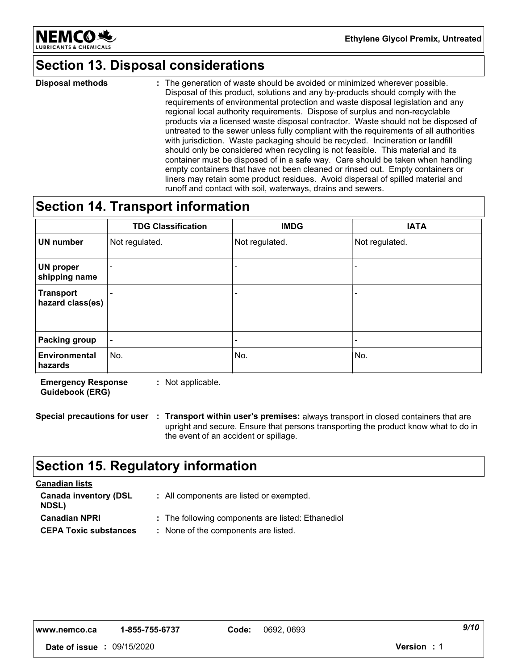

# **Section 13. Disposal considerations**

The generation of waste should be avoided or minimized wherever possible. Disposal of this product, solutions and any by-products should comply with the requirements of environmental protection and waste disposal legislation and any regional local authority requirements. Dispose of surplus and non-recyclable products via a licensed waste disposal contractor. Waste should not be disposed of untreated to the sewer unless fully compliant with the requirements of all authorities with jurisdiction. Waste packaging should be recycled. Incineration or landfill should only be considered when recycling is not feasible. This material and its container must be disposed of in a safe way. Care should be taken when handling empty containers that have not been cleaned or rinsed out. Empty containers or liners may retain some product residues. Avoid dispersal of spilled material and runoff and contact with soil, waterways, drains and sewers. **Disposal methods :**

# **Section 14. Transport information**

|                                      | <b>TDG Classification</b> | <b>IMDG</b>    | <b>IATA</b>    |
|--------------------------------------|---------------------------|----------------|----------------|
| <b>UN number</b>                     | Not regulated.            | Not regulated. | Not regulated. |
| UN proper<br>shipping name           |                           |                |                |
| <b>Transport</b><br>hazard class(es) |                           |                |                |
|                                      |                           |                |                |
| <b>Packing group</b>                 |                           |                |                |
| Environmental<br>hazards             | No.                       | No.            | No.            |

**Emergency Response Guidebook (ERG) :** Not applicable.

**Special precautions for user Transport within user's premises:** always transport in closed containers that are **:** upright and secure. Ensure that persons transporting the product know what to do in the event of an accident or spillage.

# **Section 15. Regulatory information**

| <b>Canadian lists</b>                        |                                                   |
|----------------------------------------------|---------------------------------------------------|
| <b>Canada inventory (DSL</b><br><b>NDSL)</b> | : All components are listed or exempted.          |
| <b>Canadian NPRI</b>                         | : The following components are listed: Ethanediol |
| <b>CEPA Toxic substances</b>                 | : None of the components are listed.              |